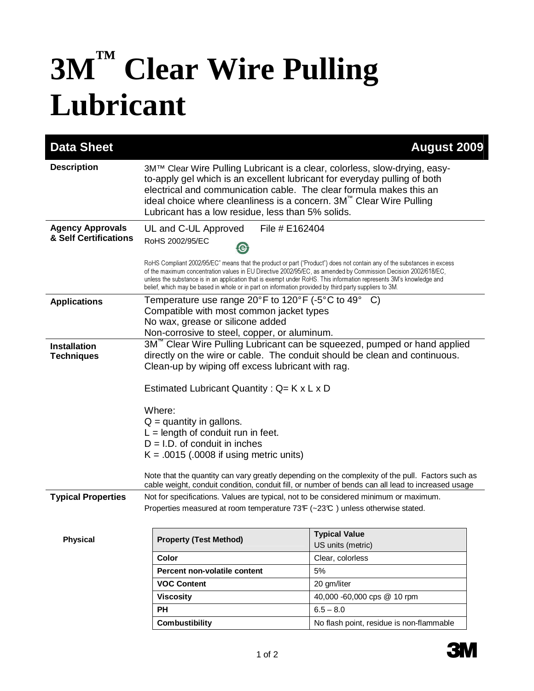## **3M™ Clear Wire Pulling Lubricant**

| <b>Data Sheet</b>                                |                                                                                                                                                                                                                                                                                                                                                                                                                                                                           | <b>August 2009</b>                                                                                                                                                                                    |
|--------------------------------------------------|---------------------------------------------------------------------------------------------------------------------------------------------------------------------------------------------------------------------------------------------------------------------------------------------------------------------------------------------------------------------------------------------------------------------------------------------------------------------------|-------------------------------------------------------------------------------------------------------------------------------------------------------------------------------------------------------|
| <b>Description</b>                               | 3M™ Clear Wire Pulling Lubricant is a clear, colorless, slow-drying, easy-<br>to-apply gel which is an excellent lubricant for everyday pulling of both<br>electrical and communication cable. The clear formula makes this an<br>ideal choice where cleanliness is a concern. $3M^{\prime\prime\prime}$ Clear Wire Pulling<br>Lubricant has a low residue, less than 5% solids.                                                                                          |                                                                                                                                                                                                       |
| <b>Agency Approvals</b><br>& Self Certifications | UL and C-UL Approved<br>File # E162404<br>RoHS 2002/95/EC<br>☺                                                                                                                                                                                                                                                                                                                                                                                                            |                                                                                                                                                                                                       |
|                                                  | RoHS Compliant 2002/95/EC" means that the product or part ("Product") does not contain any of the substances in excess<br>of the maximum concentration values in EU Directive 2002/95/EC, as amended by Commission Decision 2002/618/EC,<br>unless the substance is in an application that is exempt under RoHS. This information represents 3M's knowledge and<br>belief, which may be based in whole or in part on information provided by third party suppliers to 3M. |                                                                                                                                                                                                       |
| <b>Applications</b>                              | Temperature use range 20°F to 120°F (-5°C to 49° C)                                                                                                                                                                                                                                                                                                                                                                                                                       |                                                                                                                                                                                                       |
|                                                  | Compatible with most common jacket types<br>No wax, grease or silicone added                                                                                                                                                                                                                                                                                                                                                                                              |                                                                                                                                                                                                       |
|                                                  | Non-corrosive to steel, copper, or aluminum.                                                                                                                                                                                                                                                                                                                                                                                                                              |                                                                                                                                                                                                       |
| <b>Installation</b><br><b>Techniques</b>         | 3M <sup>"</sup> Clear Wire Pulling Lubricant can be squeezed, pumped or hand applied<br>directly on the wire or cable. The conduit should be clean and continuous.<br>Clean-up by wiping off excess lubricant with rag.                                                                                                                                                                                                                                                   |                                                                                                                                                                                                       |
|                                                  | Estimated Lubricant Quantity: $Q = K \times L \times D$                                                                                                                                                                                                                                                                                                                                                                                                                   |                                                                                                                                                                                                       |
|                                                  | Where:<br>$Q =$ quantity in gallons.<br>$L =$ length of conduit run in feet.<br>$D = I.D.$ of conduit in inches<br>$K = .0015$ (.0008 if using metric units)                                                                                                                                                                                                                                                                                                              |                                                                                                                                                                                                       |
|                                                  |                                                                                                                                                                                                                                                                                                                                                                                                                                                                           | Note that the quantity can vary greatly depending on the complexity of the pull. Factors such as<br>cable weight, conduit condition, conduit fill, or number of bends can all lead to increased usage |
| <b>Typical Properties</b>                        | Not for specifications. Values are typical, not to be considered minimum or maximum.<br>Properties measured at room temperature 73F (~23°C) unless otherwise stated.                                                                                                                                                                                                                                                                                                      |                                                                                                                                                                                                       |
| <b>Physical</b>                                  | <b>Property (Test Method)</b>                                                                                                                                                                                                                                                                                                                                                                                                                                             | <b>Typical Value</b><br>US units (metric)                                                                                                                                                             |
|                                                  | Color                                                                                                                                                                                                                                                                                                                                                                                                                                                                     | Clear, colorless                                                                                                                                                                                      |
|                                                  | Percent non-volatile content                                                                                                                                                                                                                                                                                                                                                                                                                                              | 5%                                                                                                                                                                                                    |
|                                                  | <b>VOC Content</b>                                                                                                                                                                                                                                                                                                                                                                                                                                                        | 20 gm/liter                                                                                                                                                                                           |
|                                                  | <b>Viscosity</b>                                                                                                                                                                                                                                                                                                                                                                                                                                                          | 40,000 -60,000 cps @ 10 rpm                                                                                                                                                                           |
|                                                  | PH                                                                                                                                                                                                                                                                                                                                                                                                                                                                        | $6.5 - 8.0$                                                                                                                                                                                           |
|                                                  | <b>Combustibility</b>                                                                                                                                                                                                                                                                                                                                                                                                                                                     | No flash point, residue is non-flammable                                                                                                                                                              |